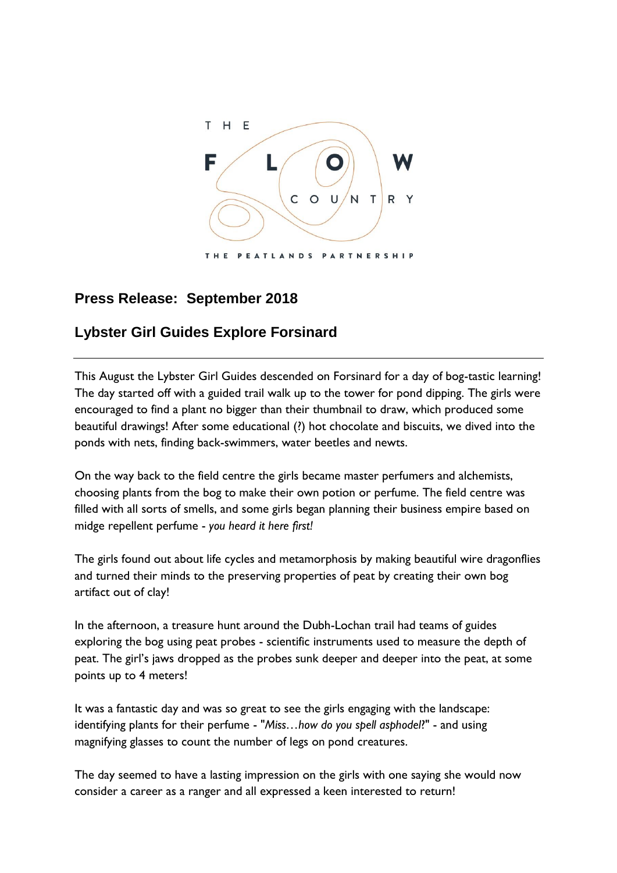

## **Press Release: September 2018**

## **Lybster Girl Guides Explore Forsinard**

This August the Lybster Girl Guides descended on Forsinard for a day of bog-tastic learning! The day started off with a guided trail walk up to the tower for pond dipping. The girls were encouraged to find a plant no bigger than their thumbnail to draw, which produced some beautiful drawings! After some educational (?) hot chocolate and biscuits, we dived into the ponds with nets, finding back-swimmers, water beetles and newts.

On the way back to the field centre the girls became master perfumers and alchemists, choosing plants from the bog to make their own potion or perfume. The field centre was filled with all sorts of smells, and some girls began planning their business empire based on midge repellent perfume - *you heard it here first!*

The girls found out about life cycles and metamorphosis by making beautiful wire dragonflies and turned their minds to the preserving properties of peat by creating their own bog artifact out of clay!

In the afternoon, a treasure hunt around the Dubh-Lochan trail had teams of guides exploring the bog using peat probes - scientific instruments used to measure the depth of peat. The girl's jaws dropped as the probes sunk deeper and deeper into the peat, at some points up to 4 meters!

It was a fantastic day and was so great to see the girls engaging with the landscape: identifying plants for their perfume - "*Miss…how do you spell asphodel*?" - and using magnifying glasses to count the number of legs on pond creatures.

The day seemed to have a lasting impression on the girls with one saying she would now consider a career as a ranger and all expressed a keen interested to return!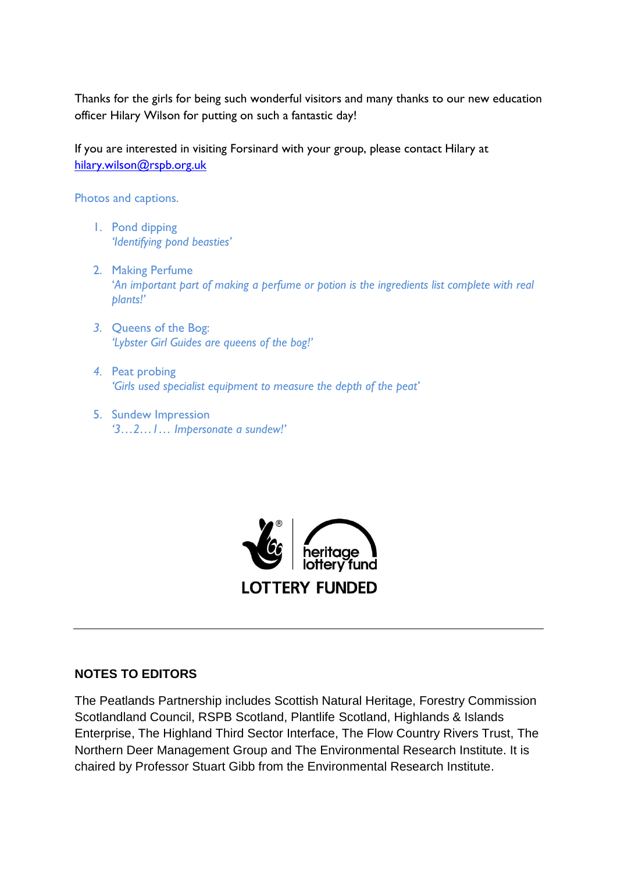Thanks for the girls for being such wonderful visitors and many thanks to our new education officer Hilary Wilson for putting on such a fantastic day!

If you are interested in visiting Forsinard with your group, please contact Hilary at [hilary.wilson@rspb.org.uk](mailto:hilary.wilson@rspb.org.uk)

Photos and captions.

- 1. Pond dipping *'Identifying pond beasties'*
- 2. Making Perfume '*An important part of making a perfume or potion is the ingredients list complete with real plants!'*
- *3.* Queens of the Bog: *'Lybster Girl Guides are queens of the bog!'*
- *4.* Peat probing *'Girls used specialist equipment to measure the depth of the peat'*
- 5. Sundew Impression *'3…2…1… Impersonate a sundew!'*



## **NOTES TO EDITORS**

The Peatlands Partnership includes Scottish Natural Heritage, Forestry Commission Scotlandland Council, RSPB Scotland, Plantlife Scotland, Highlands & Islands Enterprise, The Highland Third Sector Interface, The Flow Country Rivers Trust, The Northern Deer Management Group and The Environmental Research Institute. It is chaired by Professor Stuart Gibb from the Environmental Research Institute.